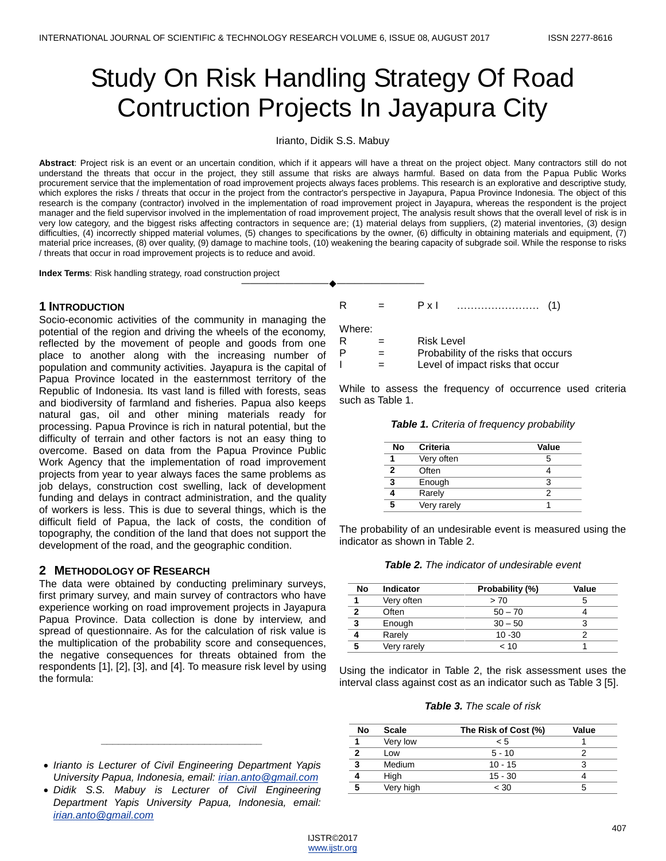# Study On Risk Handling Strategy Of Road Contruction Projects In Jayapura City

#### Irianto, Didik S.S. Mabuy

**Abstract**: Project risk is an event or an uncertain condition, which if it appears will have a threat on the project object. Many contractors still do not understand the threats that occur in the project, they still assume that risks are always harmful. Based on data from the Papua Public Works procurement service that the implementation of road improvement projects always faces problems. This research is an explorative and descriptive study, which explores the risks / threats that occur in the project from the contractor's perspective in Jayapura, Papua Province Indonesia. The object of this research is the company (contractor) involved in the implementation of road improvement project in Jayapura, whereas the respondent is the project manager and the field supervisor involved in the implementation of road improvement project, The analysis result shows that the overall level of risk is in very low category, and the biggest risks affecting contractors in sequence are; (1) material delays from suppliers, (2) material inventories, (3) design difficulties, (4) incorrectly shipped material volumes, (5) changes to specifications by the owner, (6) difficulty in obtaining materials and equipment, (7) material price increases, (8) over quality, (9) damage to machine tools, (10) weakening the bearing capacity of subgrade soil. While the response to risks / threats that occur in road improvement projects is to reduce and avoid.

————————————————————

**Index Terms**: Risk handling strategy, road construction project

### **1 INTRODUCTION**

Socio-economic activities of the community in managing the potential of the region and driving the wheels of the economy, reflected by the movement of people and goods from one place to another along with the increasing number of population and community activities. Jayapura is the capital of Papua Province located in the easternmost territory of the Republic of Indonesia. Its vast land is filled with forests, seas and biodiversity of farmland and fisheries. Papua also keeps natural gas, oil and other mining materials ready for processing. Papua Province is rich in natural potential, but the difficulty of terrain and other factors is not an easy thing to overcome. Based on data from the Papua Province Public Work Agency that the implementation of road improvement projects from year to year always faces the same problems as job delays, construction cost swelling, lack of development funding and delays in contract administration, and the quality of workers is less. This is due to several things, which is the difficult field of Papua, the lack of costs, the condition of topography, the condition of the land that does not support the development of the road, and the geographic condition.

# **2 METHODOLOGY OF RESEARCH**

The data were obtained by conducting preliminary surveys, first primary survey, and main survey of contractors who have experience working on road improvement projects in Jayapura Papua Province. Data collection is done by interview, and spread of questionnaire. As for the calculation of risk value is the multiplication of the probability score and consequences, the negative consequences for threats obtained from the respondents [1], [2], [3], and [4]. To measure risk level by using the formula:

 *Irianto is Lecturer of Civil Engineering Department Yapis University Papua, Indonesia, email: [irian.anto@gmail.com](mailto:irian.anto@gmail.com)*

*\_\_\_\_\_\_\_\_\_\_\_\_\_\_\_\_\_\_\_\_\_\_\_\_\_\_\_\_*

 *Didik S.S. Mabuy is Lecturer of Civil Engineering Department Yapis University Papua, Indonesia, email: [irian.anto@gmail.com](mailto:irian.anto@gmail.com)*

R = P x I …………………… (1)

Where:

| R | <b>Risk Level</b> |
|---|-------------------|
|   |                   |

 $P =$  Probability of the risks that occurs

 $I =$  Level of impact risks that occur

While to assess the frequency of occurrence used criteria such as Table 1.

|  |  |  |  | Table 1. Criteria of frequency probability |  |
|--|--|--|--|--------------------------------------------|--|
|--|--|--|--|--------------------------------------------|--|

| No | <b>Criteria</b> | Value |
|----|-----------------|-------|
|    | Very often      | 5     |
| 2  | Often           |       |
| 3  | Enough          |       |
|    | Rarely          |       |
| 5  | Very rarely     |       |

The probability of an undesirable event is measured using the indicator as shown in Table 2.

| <b>Table 2.</b> The indicator of undesirable event |
|----------------------------------------------------|
|----------------------------------------------------|

| No           | Indicator   | Probability (%) | Value |
|--------------|-------------|-----------------|-------|
|              | Very often  | > 70            |       |
| $\mathbf{2}$ | Often       | $50 - 70$       |       |
| 3            | Enough      | $30 - 50$       |       |
|              | Rarely      | $10 - 30$       |       |
| 5            | Very rarely | 10 >            |       |

Using the indicator in Table 2, the risk assessment uses the interval class against cost as an indicator such as Table 3 [5].

*Table 3. The scale of risk*

| No | <b>Scale</b> | The Risk of Cost (%) | Value |
|----|--------------|----------------------|-------|
|    | Very low     | < 5                  |       |
| 2  | Low          | $5 - 10$             |       |
| 3  | Medium       | $10 - 15$            |       |
|    | High         | $15 - 30$            |       |
| 5  | Very high    | < 30                 | h     |
|    |              |                      |       |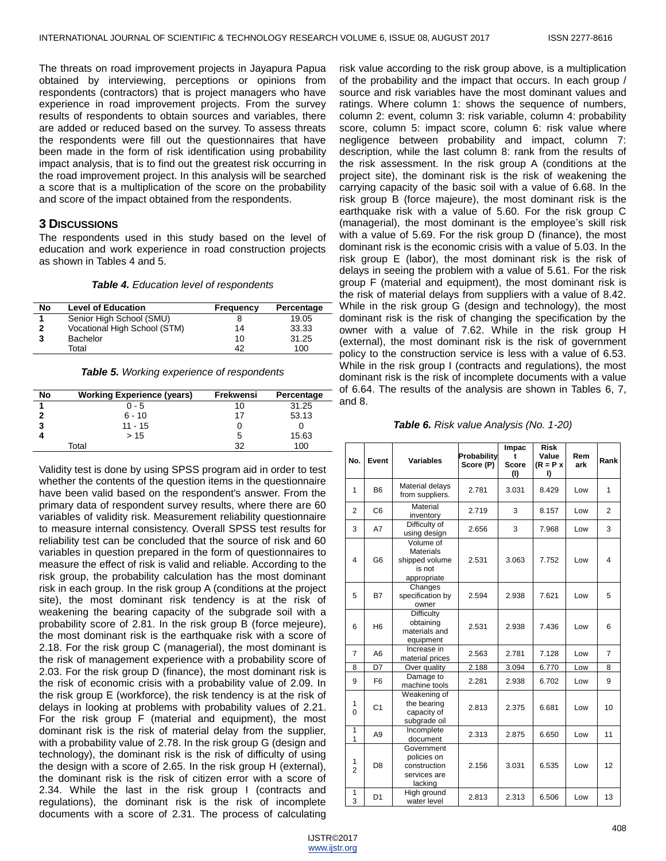The threats on road improvement projects in Jayapura Papua obtained by interviewing, perceptions or opinions from respondents (contractors) that is project managers who have experience in road improvement projects. From the survey results of respondents to obtain sources and variables, there are added or reduced based on the survey. To assess threats the respondents were fill out the questionnaires that have been made in the form of risk identification using probability impact analysis, that is to find out the greatest risk occurring in the road improvement project. In this analysis will be searched a score that is a multiplication of the score on the probability and score of the impact obtained from the respondents.

# **3 DISCUSSIONS**

The respondents used in this study based on the level of education and work experience in road construction projects as shown in Tables 4 and 5.

*Table 4. Education level of respondents*

| No | <b>Level of Education</b>    | Frequency | Percentage |
|----|------------------------------|-----------|------------|
|    | Senior High School (SMU)     |           | 19.05      |
| າ  | Vocational High School (STM) | 14        | 33.33      |
| 3  | <b>Bachelor</b>              | 10        | 31.25      |
|    | Total                        | 42        | 100        |

*Table 5. Working experience of respondents*

| No | <b>Working Experience (years)</b> | Frekwensi | Percentage |
|----|-----------------------------------|-----------|------------|
|    | $0 - 5$                           | 10        | 31.25      |
|    | $6 - 10$                          | 17        | 53.13      |
|    | $11 - 15$                         |           |            |
|    | >15                               |           | 15.63      |
|    | Total                             | 22        | 100        |

Validity test is done by using SPSS program aid in order to test whether the contents of the question items in the questionnaire have been valid based on the respondent's answer. From the primary data of respondent survey results, where there are 60 variables of validity risk. Measurement reliability questionnaire to measure internal consistency. Overall SPSS test results for reliability test can be concluded that the source of risk and 60 variables in question prepared in the form of questionnaires to measure the effect of risk is valid and reliable. According to the risk group, the probability calculation has the most dominant risk in each group. In the risk group A (conditions at the project site), the most dominant risk tendency is at the risk of weakening the bearing capacity of the subgrade soil with a probability score of 2.81. In the risk group B (force mejeure), the most dominant risk is the earthquake risk with a score of 2.18. For the risk group C (managerial), the most dominant is the risk of management experience with a probability score of 2.03. For the risk group D (finance), the most dominant risk is the risk of economic crisis with a probability value of 2.09. In the risk group E (workforce), the risk tendency is at the risk of delays in looking at problems with probability values of 2.21. For the risk group F (material and equipment), the most dominant risk is the risk of material delay from the supplier, with a probability value of 2.78. In the risk group G (design and technology), the dominant risk is the risk of difficulty of using the design with a score of 2.65. In the risk group H (external), the dominant risk is the risk of citizen error with a score of 2.34. While the last in the risk group I (contracts and regulations), the dominant risk is the risk of incomplete documents with a score of 2.31. The process of calculating

risk value according to the risk group above, is a multiplication of the probability and the impact that occurs. In each group / source and risk variables have the most dominant values and ratings. Where column 1: shows the sequence of numbers, column 2: event, column 3: risk variable, column 4: probability score, column 5: impact score, column 6: risk value where negligence between probability and impact, column 7: description, while the last column 8: rank from the results of the risk assessment. In the risk group A (conditions at the project site), the dominant risk is the risk of weakening the carrying capacity of the basic soil with a value of 6.68. In the risk group B (force majeure), the most dominant risk is the earthquake risk with a value of 5.60. For the risk group C (managerial), the most dominant is the employee's skill risk with a value of 5.69. For the risk group D (finance), the most dominant risk is the economic crisis with a value of 5.03. In the risk group E (labor), the most dominant risk is the risk of delays in seeing the problem with a value of 5.61. For the risk group F (material and equipment), the most dominant risk is the risk of material delays from suppliers with a value of 8.42. While in the risk group G (design and technology), the most dominant risk is the risk of changing the specification by the owner with a value of 7.62. While in the risk group H (external), the most dominant risk is the risk of government policy to the construction service is less with a value of 6.53. While in the risk group I (contracts and regulations), the most dominant risk is the risk of incomplete documents with a value of 6.64. The results of the analysis are shown in Tables 6, 7, and 8.

*Table 6. Risk value Analysis (No. 1-20)*

| No.                 | Event          | <b>Variables</b>                                                         | Probability<br>Score (P) | Impac<br><b>Score</b><br>(1) | <b>Risk</b><br>Value<br>$(R = P x)$<br>I) | Rem<br>ark | Rank           |
|---------------------|----------------|--------------------------------------------------------------------------|--------------------------|------------------------------|-------------------------------------------|------------|----------------|
| 1                   | <b>B6</b>      | Material delays<br>from suppliers.                                       | 2.781                    | 3.031                        | 8.429                                     | Low        | 1              |
| $\overline{2}$      | C <sub>6</sub> | Material<br>inventory                                                    | 2.719                    | 3                            | 8.157                                     | Low        | $\overline{2}$ |
| 3                   | A7             | Difficulty of<br>using design                                            | 2.656                    | 3                            | 7.968                                     | Low        | 3              |
| 4                   | G <sub>6</sub> | Volume of<br><b>Materials</b><br>shipped volume<br>is not<br>appropriate | 2.531                    | 3.063                        | 7.752                                     | Low        | $\overline{4}$ |
| 5                   | <b>B7</b>      | Changes<br>specification by<br>owner                                     | 2.594                    | 2.938                        | 7.621                                     | Low        | 5              |
| 6                   | H <sub>6</sub> | Difficulty<br>obtaining<br>materials and<br>equipment                    | 2.531                    | 2.938                        | 7.436                                     | Low        | 6              |
| $\overline{7}$      | A <sub>6</sub> | Increase in<br>material prices                                           | 2.563                    | 2.781                        | 7.128                                     | Low        | $\overline{7}$ |
| 8                   | D7             | Over quality                                                             | 2.188                    | 3.094                        | 6.770                                     | Low        | 8              |
| 9                   | F <sub>6</sub> | Damage to<br>machine tools                                               | 2.281                    | 2.938                        | 6.702                                     | Low        | 9              |
| 1<br>$\Omega$       | C <sub>1</sub> | Weakening of<br>the bearing<br>capacity of<br>subgrade oil               | 2.813                    | 2.375                        | 6.681                                     | Low        | 10             |
| 1<br>1              | A9             | Incomplete<br>document                                                   | 2.313                    | 2.875                        | 6.650                                     | Low        | 11             |
| 1<br>$\overline{2}$ | D <sub>8</sub> | Government<br>policies on<br>construction<br>services are<br>lacking     | 2.156                    | 3.031                        | 6.535                                     | Low        | 12             |
| 1<br>3              | D <sub>1</sub> | High ground<br>water level                                               | 2.813                    | 2.313                        | 6.506                                     | Low        | 13             |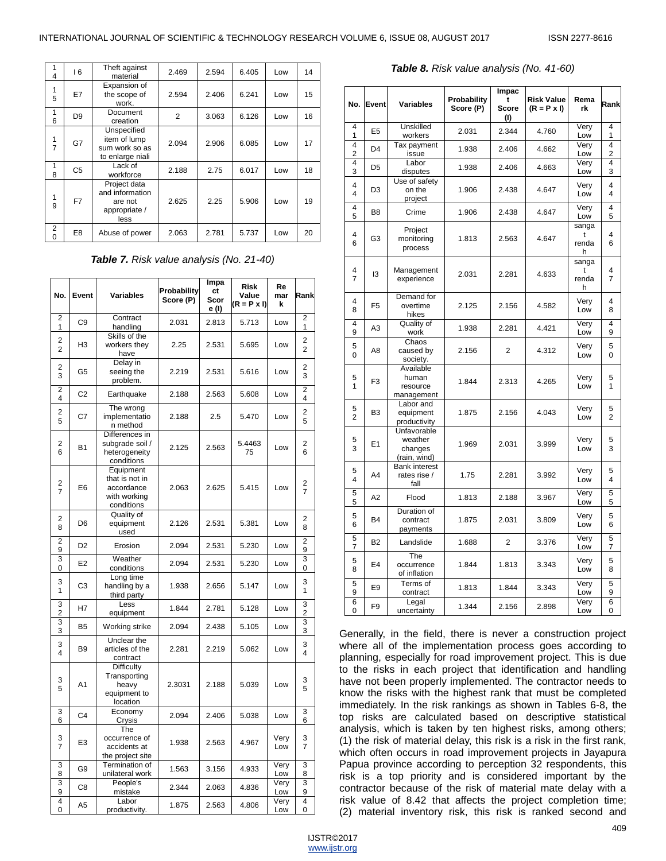| 4                   | 16             | Theft against<br>material                                           | 2.469          | 2.594 | 6.405 | Low | 14 |
|---------------------|----------------|---------------------------------------------------------------------|----------------|-------|-------|-----|----|
| 1<br>5              | E7             | Expansion of<br>the scope of<br>work.                               | 2.594          | 2.406 | 6.241 | Low | 15 |
| 1<br>6              | D <sub>9</sub> | Document<br>creation                                                | $\overline{2}$ | 3.063 | 6.126 | Low | 16 |
| 1<br>$\overline{7}$ | G7             | Unspecified<br>item of lump<br>sum work so as<br>to enlarge niali   | 2.094          | 2.906 | 6.085 | Low | 17 |
| 1<br>8              | C <sub>5</sub> | Lack of<br>workforce                                                | 2.188          | 2.75  | 6.017 | Low | 18 |
| 1<br>9              | F7             | Project data<br>and information<br>are not<br>appropriate /<br>less | 2.625          | 2.25  | 5.906 | Low | 19 |
| 2<br>0              | E <sub>8</sub> | Abuse of power                                                      | 2.063          | 2.781 | 5.737 | Low | 20 |

*Table 7. Risk value analysis (No. 21-40)*

| No.                              | Event          | Variables                                                               | Probability<br>Score (P) | Impa<br>сt<br>Scor<br>e (l) | <b>Risk</b><br>Value<br>$(R = P \times I)$ | Re<br>mar<br>k | Rank                |
|----------------------------------|----------------|-------------------------------------------------------------------------|--------------------------|-----------------------------|--------------------------------------------|----------------|---------------------|
| $\overline{2}$<br>1              | C <sub>9</sub> | Contract<br>handling                                                    | 2.031                    | 2.813                       | 5.713                                      | Low            | 2<br>1              |
| $\overline{2}$<br>$\overline{2}$ | H <sub>3</sub> | Skills of the<br>workers they<br>have                                   | 2.25                     | 2.531                       | 5.695                                      | Low            | 2<br>$\overline{2}$ |
| 2<br>3                           | G5             | Delay in<br>seeing the<br>problem.                                      | 2.219                    | 2.531                       | 5.616                                      | Low            | 2<br>3              |
| $\overline{2}$<br>4              | C <sub>2</sub> | Earthquake                                                              | 2.188                    | 2.563                       | 5.608                                      | Low            | 2<br>4              |
| 2<br>5                           | C7             | The wrong<br>implementatio<br>n method                                  | 2.188                    | 2.5                         | 5.470                                      | Low            | 2<br>5              |
| 2<br>6                           | <b>B1</b>      | Differences in<br>subgrade soil /<br>heterogeneity<br>conditions        | 2.125                    | 2.563                       | 5.4463<br>75                               | Low            | 2<br>6              |
| 2<br>$\overline{7}$              | E <sub>6</sub> | Equipment<br>that is not in<br>accordance<br>with working<br>conditions | 2.063                    | 2.625                       | 5.415                                      | Low            | 2<br>7              |
| 2<br>8                           | D <sub>6</sub> | Quality of<br>equipment<br>used                                         | 2.126                    | 2.531                       | 5.381                                      | Low            | 2<br>8              |
| $\overline{2}$<br>9              | D <sub>2</sub> | Erosion                                                                 | 2.094                    | 2.531                       | 5.230                                      | Low            | 2<br>9              |
| 3<br>0                           | E <sub>2</sub> | Weather<br>conditions                                                   | 2.094                    | 2.531                       | 5.230                                      | Low            | 3<br>0              |
| 3<br>1                           | C <sub>3</sub> | Long time<br>handling by a<br>third party                               | 1.938                    | 2.656                       | 5.147                                      | Low            | 3<br>1              |
| 3<br>$\overline{c}$              | H7             | Less<br>equipment                                                       | 1.844                    | 2.781                       | 5.128                                      | Low            | 3<br>2              |
| 3<br>3                           | B <sub>5</sub> | Working strike                                                          | 2.094                    | 2.438                       | 5.105                                      | Low            | 3<br>3              |
| 3<br>4                           | B <sub>9</sub> | Unclear the<br>articles of the<br>contract                              | 2.281                    | 2.219                       | 5.062                                      | Low            | 3<br>4              |
| 3<br>5                           | A1             | Difficulty<br>Transporting<br>heavy<br>equipment to<br>location         | 2.3031                   | 2.188                       | 5.039                                      | Low            | 3<br>5              |
| 3<br>6                           | C <sub>4</sub> | Economy<br>Crysis                                                       | 2.094                    | 2.406                       | 5.038                                      | Low            | 3<br>6              |
| 3<br>7                           | E <sub>3</sub> | The<br>occurrence of<br>accidents at<br>the project site                | 1.938                    | 2.563                       | 4.967                                      | Very<br>Low    | 3<br>7              |
| 3<br>8                           | G <sub>9</sub> | Termination of<br>unilateral work                                       | 1.563                    | 3.156                       | 4.933                                      | Very<br>Low    | 3<br>8              |
| 3<br>9                           | C8             | People's<br>mistake                                                     | 2.344                    | 2.063                       | 4.836                                      | Very<br>Low    | 3<br>9              |
| 4<br>$\overline{0}$              | A <sub>5</sub> | Labor<br>productivity.                                                  | 1.875                    | 2.563                       | 4.806                                      | Very<br>Low    | 4<br>0              |

#### *Table 8. Risk value analysis (No. 41-60)*

| No.                 | Event          | <b>Variables</b>                                  | Probability<br>Score (P) | Impac<br>t<br><b>Score</b><br>(1) | <b>Risk Value</b><br>$(R = P \times I)$ | Rema<br>rk               | Rank                                      |
|---------------------|----------------|---------------------------------------------------|--------------------------|-----------------------------------|-----------------------------------------|--------------------------|-------------------------------------------|
| 4<br>1              | E <sub>5</sub> | Unskilled<br>workers                              | 2.031                    | 2.344                             | 4.760                                   | Very<br>Low              | $\overline{4}$<br>1                       |
| 4<br>$\overline{c}$ | D <sub>4</sub> | Tax payment<br>issue                              | 1.938                    | 2.406                             | 4.662                                   | Very<br>Low              | $\overline{4}$<br>$\overline{\mathbf{c}}$ |
| 4<br>3              | D <sub>5</sub> | Labor<br>disputes                                 | 1.938                    | 2.406                             | 4.663                                   | Very<br>Low              | 4<br>3                                    |
| 4<br>4              | D <sub>3</sub> | Use of safety<br>on the<br>project                | 1.906                    | 2.438                             | 4.647                                   | Very<br>Low              | 4<br>4                                    |
| 4<br>5              | B <sub>8</sub> | Crime                                             | 1.906                    | 2.438                             | 4.647                                   | Very<br>Low              | 4<br>5                                    |
| 4<br>6              | G3             | Project<br>monitoring<br>process                  | 1.813                    | 2.563                             | 4.647                                   | sanga<br>t<br>renda<br>h | 4<br>6                                    |
| 4<br>$\overline{7}$ | 13             | Management<br>experience                          | 2.031                    | 2.281                             | 4.633                                   | sanga<br>t<br>renda<br>h | 4<br>7                                    |
| 4<br>8              | F <sub>5</sub> | Demand for<br>overtime<br>hikes                   | 2.125                    | 2.156                             | 4.582                                   | Very<br>Low              | 4<br>8                                    |
| 4<br>9              | A3             | Quality of<br>work                                | 1.938                    | 2.281                             | 4.421                                   | Very<br>Low              | 4<br>9                                    |
| 5<br>$\Omega$       | A8             | Chaos<br>caused by<br>society.                    | 2.156                    | 2                                 | 4.312                                   | Very<br>Low              | 5<br>$\Omega$                             |
| 5<br>1              | F <sub>3</sub> | Available<br>human<br>resource<br>management      | 1.844                    | 2.313                             | 4.265                                   | Very<br>Low              | 5<br>1                                    |
| 5<br>$\overline{2}$ | B <sub>3</sub> | Labor and<br>equipment<br>productivity            | 1.875                    | 2.156                             | 4.043                                   | Very<br>Low              | 5<br>2                                    |
| 5<br>3              | E1             | Unfavorable<br>weather<br>changes<br>(rain, wind) | 1.969                    | 2.031                             | 3.999                                   | Very<br>Low              | 5<br>3                                    |
| 5<br>4              | A4             | <b>Bank interest</b><br>rates rise /<br>fall      | 1.75                     | 2.281                             | 3.992                                   | Very<br>Low              | 5<br>4                                    |
| 5<br>5              | A <sub>2</sub> | Flood                                             | 1.813                    | 2.188                             | 3.967                                   | Very<br>Low              | 5<br>5                                    |
| 5<br>6              | <b>B4</b>      | Duration of<br>contract<br>payments               | 1.875                    | 2.031                             | 3.809                                   | Very<br>Low              | 5<br>6                                    |
| 5<br>7              | <b>B2</b>      | Landslide                                         | 1.688                    | 2                                 | 3.376                                   | Very<br>Low              | 5<br>7                                    |
| 5<br>8              | E4             | The<br>occurrence<br>of inflation                 | 1.844                    | 1.813                             | 3.343                                   | Very<br>Low              | 5<br>8                                    |
| 5<br>9              | E9             | Terms of<br>contract                              | 1.813                    | 1.844                             | 3.343                                   | Very<br>Low              | 5<br>9                                    |
| 6<br>0              | F <sub>9</sub> | Legal<br>uncertainty                              | 1.344                    | 2.156                             | 2.898                                   | Very<br>Low              | 6<br>0                                    |

Generally, in the field, there is never a construction project where all of the implementation process goes according to planning, especially for road improvement project. This is due to the risks in each project that identification and handling have not been properly implemented. The contractor needs to know the risks with the highest rank that must be completed immediately. In the risk rankings as shown in Tables 6-8, the top risks are calculated based on descriptive statistical analysis, which is taken by ten highest risks, among others; (1) the risk of material delay, this risk is a risk in the first rank, which often occurs in road improvement projects in Jayapura Papua province according to perception 32 respondents, this risk is a top priority and is considered important by the contractor because of the risk of material mate delay with a risk value of 8.42 that affects the project completion time; (2) material inventory risk, this risk is ranked second and